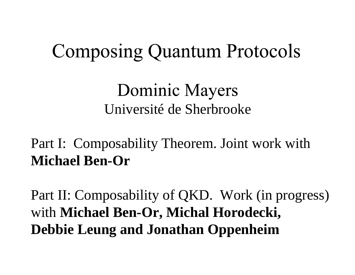#### **Composing Quantum Protocols**

#### **Dominic Mayers** Université de Sherbrooke

#### Part I: Composability Theorem. Joint work with **Michael Ben-Or**

Part II: Composability of QKD. Work (in progress) with **Michael Ben-Or, Michal Horodecki, Debbie Leung and Jonathan Oppenheim**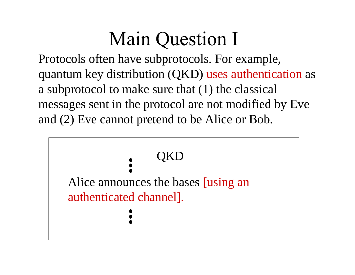## **Main Question I**

Protocols often have subprotocols. For example, quantum key distribution (QKD) uses authentication as a subprotocol to make sure that (1) the classical messages sent in the protocol are not modified by Eve and (2) Eve cannot pretend to be Alice or Bob.

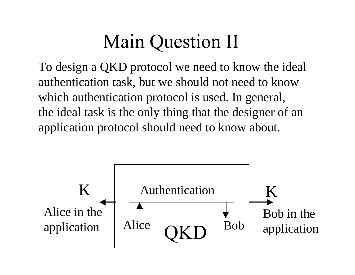## **Main Question II**

To design a QKD protocol we need to know the ideal authentication task, but we should not need to know which authentication protocol is used. In general, the ideal task is the only thing that the designer of an application protocol should need to know about.

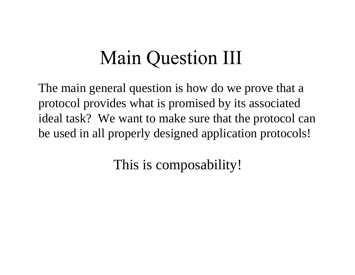## **Main Question III**

The main general question is how do we prove that a protocol provides what is promised by its associated ideal task? We want to make sure that the protocol can be used in all properly designed application protocols!

This is composability!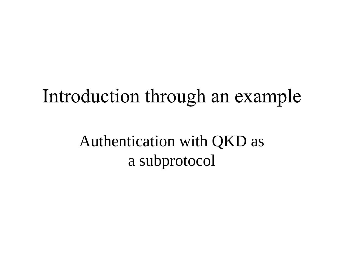## Introduction through an example

Authentication with QKD as a subprotocol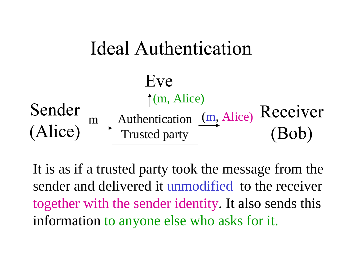

It is as if a trusted party took the message from the sender and delivered it unmodified to the receiver together with the sender identity. It also sends this information to anyone else who asks for it.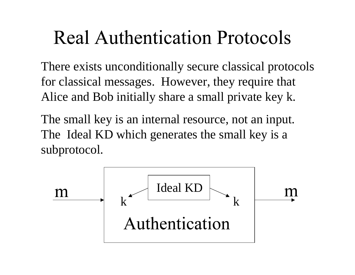#### **Real Authentication Protocols**

There exists unconditionally secure classical protocols for classical messages. However, they require that Alice and Bob initially share a small private key k.

The small key is an internal resource, not an input. The Ideal KD which generates the small key is <sup>a</sup> subprotocol.

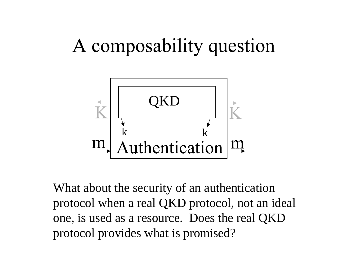# A composability question



What about the security of an authentication protocol when a real QKD protocol, not an ideal one, is used as a resource. Does the real QKD protocol provides what is promised?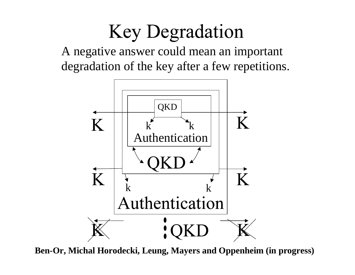## **Key Degradation**

A negative answer could mean an important degradation of the key after a few repetitions.



**Ben-Or, Michal Horodecki, Leung, Mayers and Oppenheim (in progress)**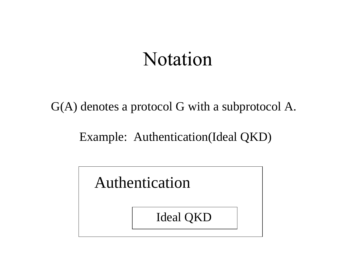#### **Notation**

G(A) denotes a protocol G with a subprotocol A.

Example: Authentication(Ideal QKD)

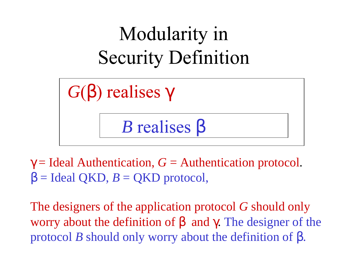

 $\gamma$  = Ideal Authentication,  $G$  = Authentication protocol.  $\beta$  = Ideal QKD,  $B$  = QKD protocol,

The designers of the application protocol *G* should only worry about the definition of  $\beta$  and  $\gamma$ . The designer of the protocol *<sup>B</sup>* should only worry about the definition of β.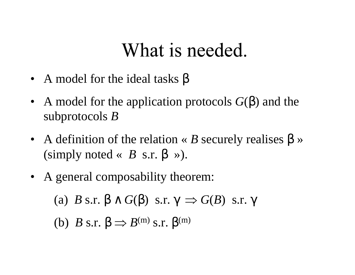#### What is needed.

- A model for the ideal tasks  $\beta$
- A model for the application protocols  $G(\beta)$  and the subprotocols *B*
- A definition of the relation « B securely realises β » (simply noted «  $B$  s.r.  $\beta \gg$ ).
- A general composability theorem:

(a)  $B$  s.r.  $\beta \wedge G(\beta)$  s.r.  $\gamma \Rightarrow G(B)$  s.r.  $\gamma$ 

(b)  $B$  s.r.  $\beta \Rightarrow B^{(m)}$  s.r.  $\beta^{(m)}$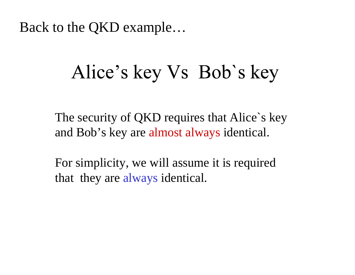Back to the QKD example…

#### Alice's key Vs Bob's key

The security of QKD requires that Alice's key and Bob's key are almost always identical.

For simplicity, we will assume it is required that they are always identical.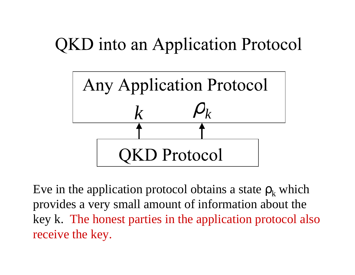#### **QKD** into an Application Protocol



Eve in the application protocol obtains a state  $\rho_k$  which provides a very small amount of information about the key k. The honest parties in the application protocol also receive the key.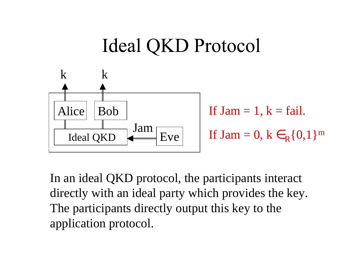## Ideal QKD Protocol



If  $Jam = 1, k = fail.$ If Jam = 0,  $k \in_R \{0,1\}^m$ 

In an ideal QKD protocol, the participants interact directly with an ideal party which provides the key. The participants directly output this key to the application protocol.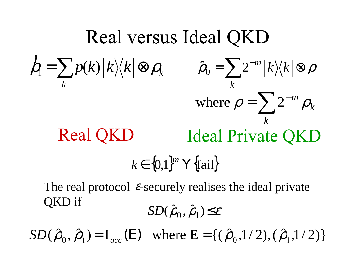Real versus Ideal QKD  
\n
$$
\begin{array}{ccc}\nh_1 = \sum_k p(k) |k\rangle\langle k| \otimes \rho_k & \hat{\rho}_0 = \sum_k 2^{-m} |k\rangle\langle k| \otimes \rho_k \\
\text{where } \rho = \sum_k 2^{-m} \rho_k\n\end{array}
$$
\nReal QKD  
\n $k \in \{0,1\}^m$  Y{fail}  
\nThe real protocol  $\varepsilon$ -securely realizes the ideal private QKD if

 $SD(\hat{\rho}_0, \hat{\rho}_1) \leq \varepsilon$ 

 $SD(\hat{\rho}_0, \hat{\rho}_1) = I_{acc}(E)$  where  $E = \{(\hat{\rho}_0, 1/2),(\hat{\rho}_1, 1/2)\}$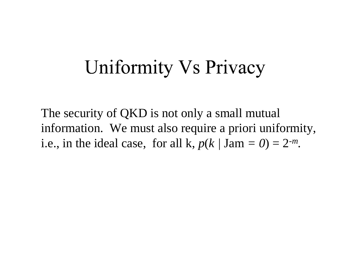#### Uniformity Vs Privacy

The security of QKD is not only a small mutual information. We must also require a priori uniformity, i.e., in the ideal case, for all k,  $p(k / \text{Jam} = 0) = 2^{-m}$ .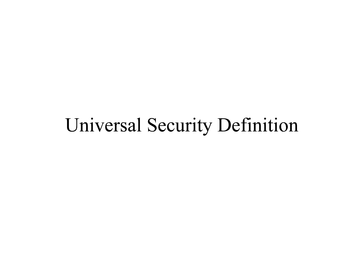#### Universal Security Definition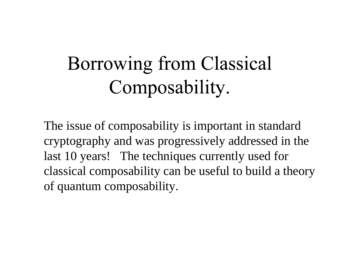# Borrowing from Classical Composability.

The issue of composability is important in standard cryptography and was progressively addressed in the last 10 years! The techniques currently used for classical composability can be useful to build a theory of quantum composability.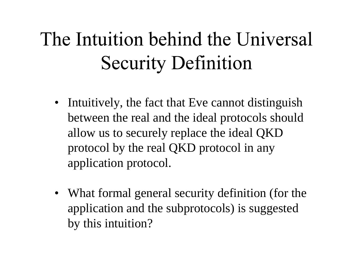# The Intuition behind the Universal **Security Definition**

- Intuitively, the fact that Eve cannot distinguish between the real and the ideal protocols should allow us to securely replace the ideal QKD protocol by the real QKD protocol in any application protocol.
- What formal general security definition (for the application and the subprotocols) is suggested by this intuition?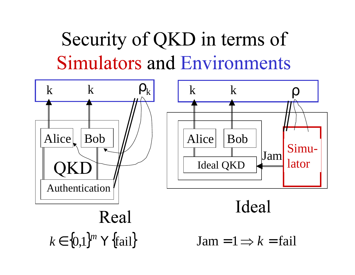# Security of QKD in terms of **Simulators and Environments**

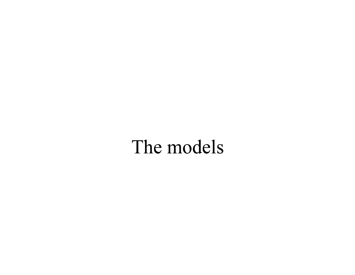#### The models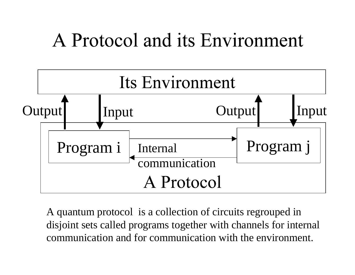#### A Protocol and its Environment



A quantum protocol is a collection of circuits regrouped in disjoint sets called programs together with channels for internal communication and for communication with the environment.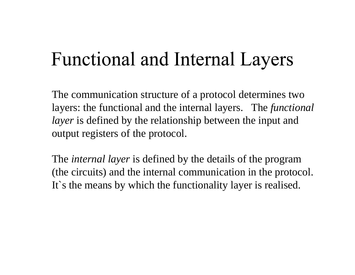## **Functional and Internal Layers**

The communication structure of a protocol determines two layers: the functional and the internal layers. The *functional layer* is defined by the relationship between the input and output registers of the protocol.

The *internal layer* is defined by the details of the program (the circuits) and the internal communication in the protocol. It's the means by which the functionality layer is realised.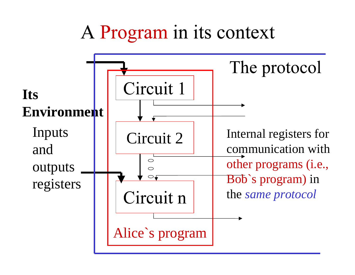#### A Program in its context

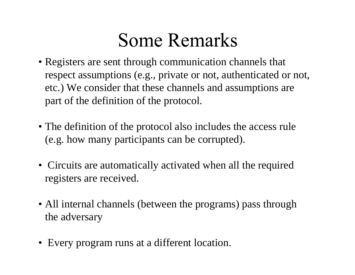#### **Some Remarks**

- Registers are sent through communication channels that respect assumptions (e.g., private or not, authenticated or not, etc.) We consider that these channels and assumptions are part of the definition of the protocol.
- The definition of the protocol also includes the access rule (e.g. how many participants can be corrupted).
- Circuits are automatically activated when all the required registers are received.
- All internal channels (between the programs) pass through the adversary
- Every program runs at a different location.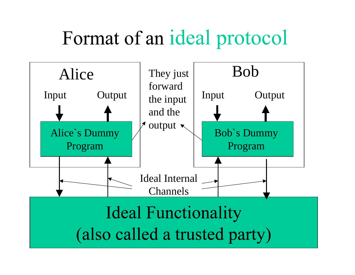# Format of an ideal protocol

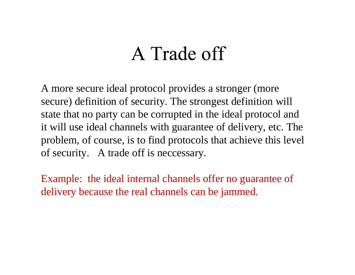#### A Trade off

A more secure ideal protocol provides a stronger (more secure) definition of security. The strongest definition will state that no party can be corrupted in the ideal protocol and it will use ideal channels with guarantee of delivery, etc. The problem, of course, is to find protocols that achieve this level of security. A trade off is neccessary.

Example: the ideal internal channels offer no guarantee of delivery because the real channels can be jammed.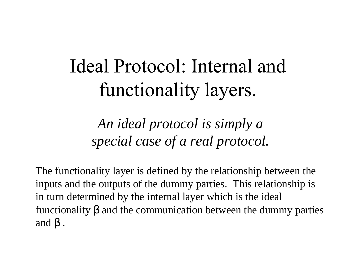# Ideal Protocol: Internal and functionality layers.

*An ideal protocol is simply a special case of a real protocol.*

The functionality layer is defined by the relationship between the inputs and the outputs of the dummy parties. This relationship is in turn determined by the internal layer which is the ideal functionality β and the communication between the dummy parties and β .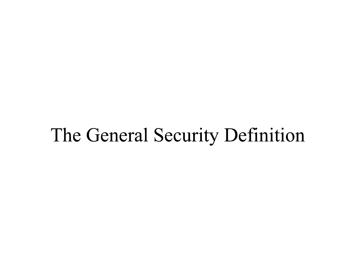#### The General Security Definition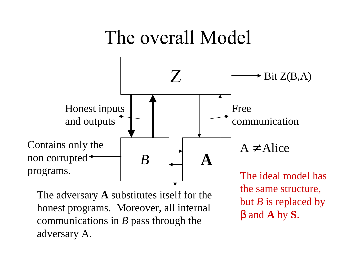#### The overall Model



The adversary **A** substitutes itself for the honest programs. Moreover, all internal communications in *B* pass through the adversary A.

The ideal model has the same structure, but *B* is replaced by β and **A** by **S**.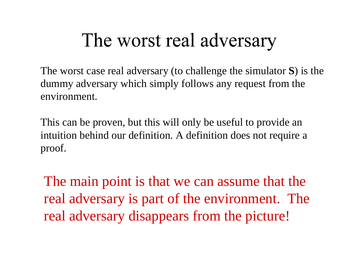#### The worst real adversary

The worst case real adversary (to challenge the simulator **S**) is the dummy adversary which simply follows any request from the environment.

This can be proven, but this will only be useful to provide an intuition behind our definition. A definition does not require a proof.

The main point is that we can assume that the real adversary is part of the environment. The real adversary disappears from the picture!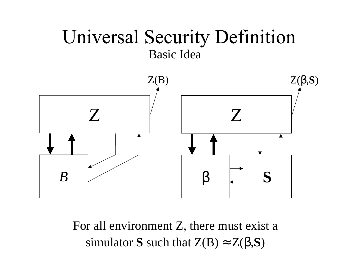#### **Universal Security Definition** Basic Idea



For all environment Z, there must exist <sup>a</sup> simulator **S** such that  $Z(B) \approx Z(\beta, S)$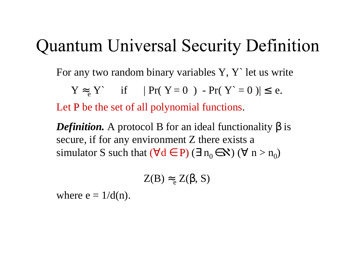#### **Quantum Universal Security Definition**

For any two random binary variables Y, Y` let us write

$$
Y \approx_e Y \quad \text{if} \quad |Pr(Y=0) - Pr(Y=0)| \le e.
$$

Let  $P$  be the set of all polynomial functions.

**Definition.** A protocol B for an ideal functionality  $\beta$  is secure, if for any environment Z there exists a simulator S such that  $(\forall d \in P)$   $(\exists n_0 \in \mathbf{N})$   $(\forall n > n_0)$ 

$$
Z(B) \approx_e Z(\beta, S)
$$

where  $e = 1/d(n)$ .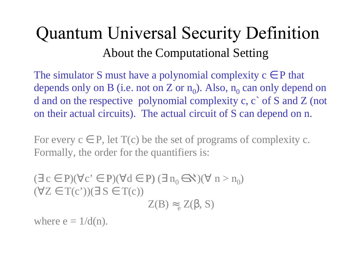#### **Quantum Universal Security Definition** About the Computational Setting

The simulator S must have a polynomial complexity  $c \in P$  that depends only on B (i.e. not on Z or  $n_0$ ). Also,  $n_0$  can only depend on d and on the respective polynomial complexity c, c` of S and Z (not on their actual circuits). The actual circuit of S can depend on n.

For every  $c \in P$ , let  $T(c)$  be the set of programs of complexity c. Formally, the order for the quantifiers is:

 $(\exists c \in P)(\forall c \in P)(\forall d \in P) (\exists n_0 \in \mathbf{X})(\forall n > n_0)$  $(\forall Z \in T(c'))(\exists S \in T(c))$  $Z(B) \approx_{e} Z(\beta, S)$ 

where  $e = 1/d(n)$ .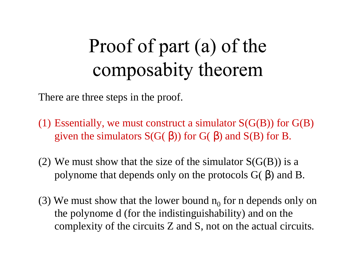# Proof of part (a) of the composabity theorem

There are three steps in the proof.

- (1) Essentially, we must construct a simulator  $S(G(B))$  for  $G(B)$ given the simulators  $S(G(\beta))$  for  $G(\beta)$  and  $S(B)$  for B.
- (2) We must show that the size of the simulator  $S(G(B))$  is a polynome that depends only on the protocols  $G(β)$  and  $B$ .
- (3) We must show that the lower bound  $n_0$  for n depends only on the polynome d (for the indistinguishability) and on the complexity of the circuits Z and S, not on the actual circuits.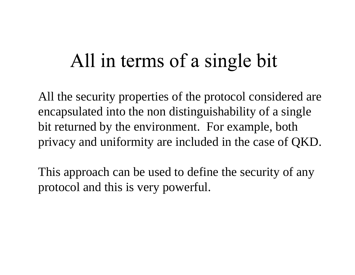#### All in terms of a single bit

All the security properties of the protocol considered are encapsulated into the non distinguishability of a single bit returned by the environment. For example, both privacy and uniformity are included in the case of QKD.

This approach can be used to define the security of any protocol and this is very powerful.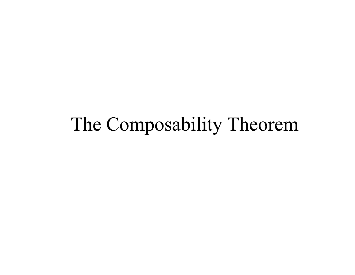#### The Composability Theorem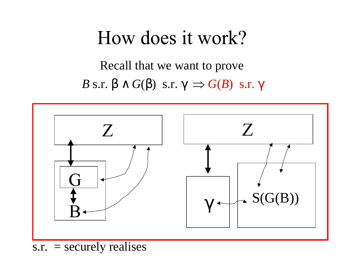#### How does it work?

*B* s.r. β ∧ *G*(β) s.r. γ  $\Rightarrow$  *G*(*B*) s.r. γ Recall that we want to prove



 $s.r. = securely$  realises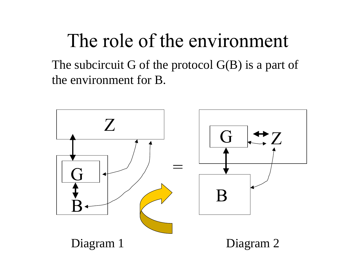## The role of the environment

The subcircuit G of the protocol  $G(B)$  is a part of the environment for B.

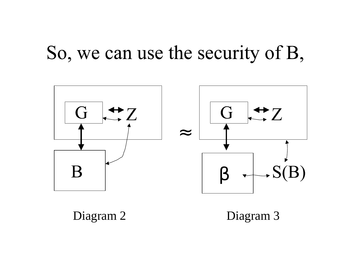#### So, we can use the security of B,



Diagram 2 Diagram 3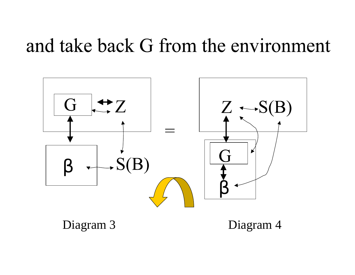#### and take back G from the environment



Diagram 3 Diagram 4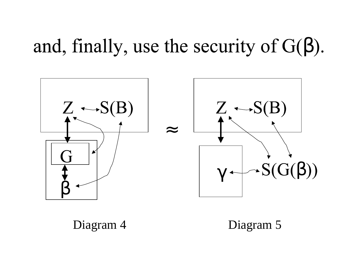## and, finally, use the security of  $G(\beta)$ .



#### Diagram 4 Diagram 5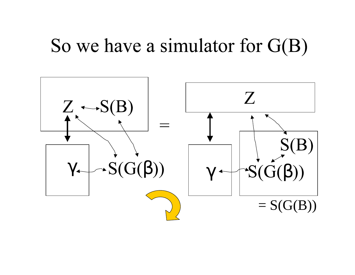#### So we have a simulator for  $G(B)$

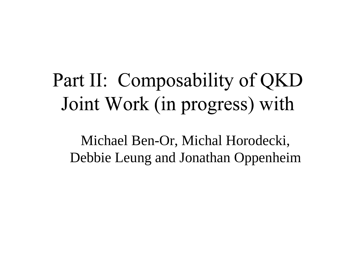# Part II: Composability of QKD Joint Work (in progress) with

Michael Ben-Or, Michal Horodecki, Debbie Leung and Jonathan Oppenheim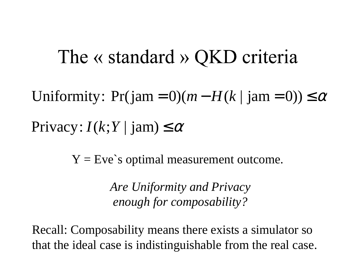#### The  $\kappa$  standard  $\kappa$  QKD criteria

 $Privacy: I(k;Y | jam) \leq \alpha$  $= 0$  (*m*  $- H(k \mid \text{am} = 0)$ )  $\le \alpha$ −Uniformity:  $Pr(jam = 0)(m - H(k | jam = 0)) \le$ 

 $Y = Eve$ 's optimal measurement outcome.

*Are Uniformity and Privacy enough for composability?*

Recall: Composability means there exists a simulator so that the ideal case is indistinguishable from the real case.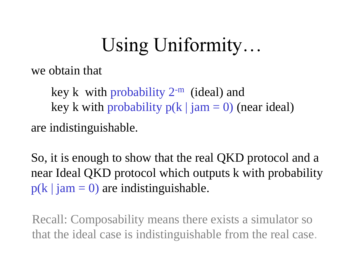# Using Uniformity...

we obtain that

key k with probability  $2^{-m}$  (ideal) and key k with probability  $p(k \mid jam = 0)$  (near ideal) are indistinguishable.

So, it is enough to show that the real QKD protocol and a near Ideal QKD protocol which outputs k with probability  $p(k \mid jam = 0)$  are indistinguishable.

Recall: Composability means there exists a simulator so that the ideal case is indistinguishable from the real case.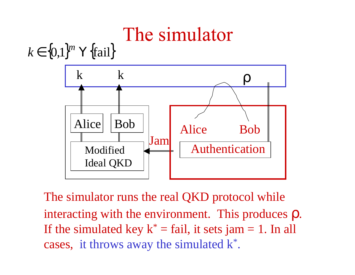# The simulator

 $k \in \{0,1\}^m$  **Y** {fail}



The simulator runs the real QKD protocol while interacting with the environment. This produces ρ. If the simulated key  $k^* = \text{fail}$ , it sets jam = 1. In all cases, it throws away the simulated  $k^*$ .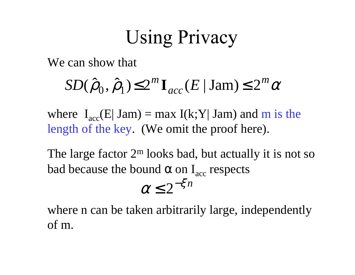## **Using Privacy**

We can show that

#### $SD(\hat{\rho}_0, \hat{\rho}_1) \leq 2^m \mathbf{I}_{acc}(E \mid \text{Jam}) \leq 2^m \alpha$

where  $I_{\text{acc}}(E| \text{ Jam}) = \max I(k;Y| \text{ Jam})$  and m is the length of the key. (We omit the proof here).

The large factor  $2^m$  looks bad, but actually it is not so bad because the bound  $\alpha$  on  $I_{\text{acc}}$  respects  $\alpha \leq 2^{-\xi n}$ 

where n can be taken arbitrarily large, independently of m.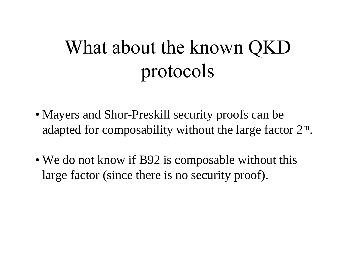# What about the known QKD protocols

- Mayers and Shor-Preskill security proofs can be adapted for composability without the large factor 2 m.
- We do not know if B92 is composable without this large factor (since there is no security proof).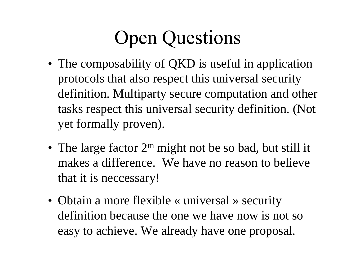# **Open Questions**

- The composability of QKD is useful in application protocols that also respect this universal security definition. Multiparty secure computation and other tasks respect this universal security definition. (Not ye<sup>t</sup> formally proven).
- The large factor 2<sup>m</sup> might not be so bad, but still it makes a difference. We have no reason to believe that it is neccessary!
- Obtain a more flexible « universal » security definition because the one we have now is not so easy to achieve. We already have one proposal.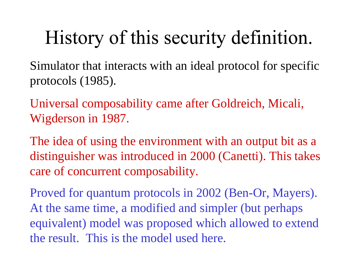## History of this security definition.

Simulator that interacts with an ideal protocol for specific protocols (1985).

Universal composability came after Goldreich, Micali, Wigderson in 1987.

The idea of using the environment with an output bit as a distinguisher was introduced in 2000 (Canetti). This takes care of concurrent composability.

Proved for quantum protocols in 2002 (Ben-Or, Mayers). At the same time, a modified and simpler (but perhaps equivalent) model was proposed which allowed to extend the result. This is the model used here.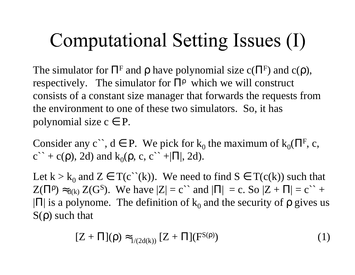# Computational Setting Issues (I)

The simulator for  $\Pi^F$  and  $\rho$  have polynomial size  $c(\Pi^F)$  and  $c(\rho)$ , respectively. The simulator for  $\Pi^{\rho}$  which we will construct consists of a constant size manager that forwards the requests from the environment to one of these two simulators. So, it has polynomial size  $c \in P$ .

Consider any c``,  $d \in P$ . We pick for  $k_0$  the maximum of  $k_0(\Pi^F, c, \Pi^F)$  $c^+ + c(\rho)$ , 2d) and  $k_0(\rho, c, c^+ + |\Pi|, 2d)$ .

Let  $k > k_0$  and  $Z \in T(c^*(k))$ . We need to find  $S \in T(c(k))$  such that  $Z(\Pi^{\rho}) \approx_{d(k)} Z(G^{S})$ . We have  $|Z| = c^{\prime\prime}$  and  $|\Pi| = c$ . So  $|Z + \Pi| = c^{\prime\prime} + c^{\prime\prime}$  $|\Pi|$  is a polynome. The definition of  $k_0$  and the security of  $\rho$  gives us  $S(\rho)$  such that

$$
[Z + \Pi](\rho) \approx_{1/(2d(k))} [Z + \Pi](F^{S(\rho)})
$$
 (1)